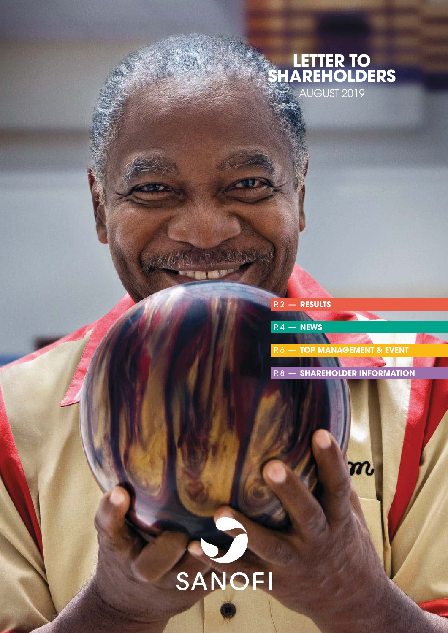# **LETTER TO SHAREHOLDERS** AUGUST 2019

|  | P.2 — Results |  |  |
|--|---------------|--|--|
|  |               |  |  |
|  | $R4 - NEWS$   |  |  |

P. 6 — **[TOP MANAGEMENT & EVENT](#page-5-0)**

P. 8 — **[SHAREHOLDER INFORMATION](#page-7-0)**

 $\boldsymbol{m}$ 

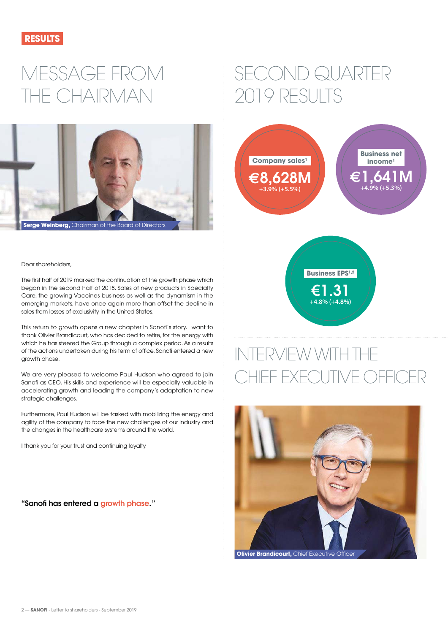<span id="page-1-0"></span>

# MESSAGE FROM THE CHAIRMAN



#### Dear shareholders,

The first half of 2019 marked the continuation of the growth phase which began in the second half of 2018. Sales of new products in Specialty Care, the growing Vaccines business as well as the dynamism in the emerging markets, have once again more than offset the decline in sales from losses of exclusivity in the United States.

This return to growth opens a new chapter in Sanofi's story. I want to thank Olivier Brandicourt, who has decided to retire, for the energy with which he has steered the Group through a complex period. As a results of the actions undertaken during his term of office, Sanofi entered a new growth phase.

We are very pleased to welcome Paul Hudson who agreed to join Sanofi as CEO. His skills and experience will be especially valuable in accelerating growth and leading the company's adaptation to new strategic challenges.

Furthermore, Paul Hudson will be tasked with mobilizing the energy and agility of the company to face the new challenges of our industry and the changes in the healthcare systems around the world.

I thank you for your trust and continuing loyalty.

**"Sanofi has entered a growth phase. "**

# SECOND QUARTER 2019 RESULTS





# INTERVIEW WITH THE HIEF EXECUTIVE OFFICER

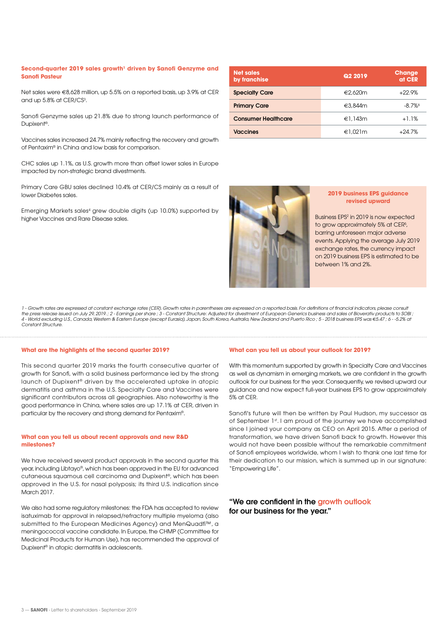#### Second-quarter 2019 sales growth<sup>1</sup> driven by Sanofi Genzyme and **Sanofi Pasteur**

Net sales were €8,628 million, up 5.5% on a reported basis, up 3.9% at CER and up 5.8% at CER/CS<sup>3</sup>.

Sanofi Genzyme sales up 21.8% due to strong launch performance of Dupixent®.

Vaccines sales increased 24.7% mainly reflecting the recovery and growth of Pentaxim® in China and low basis for comparison.

CHC sales up 1.1%, as U.S. growth more than offset lower sales in Europe impacted by non-strategic brand divestments.

Primary Care GBU sales declined 10.4% at CER/CS mainly as a result of lower Diabetes sales.

Emerging Markets sales4 grew double digits (up 10.0%) supported by higher Vaccines and Rare Disease sales.

| <b>Net sales</b><br>by franchise | <b>Q2 2019</b> | <b>Change</b><br>at CER |
|----------------------------------|----------------|-------------------------|
| <b>Specialty Care</b>            | €2,620m        | $+22.9%$                |
| <b>Primary Care</b>              | €3,844m        | $-8.7\%$                |
| <b>Consumer Healthcare</b>       | €1.143m        | $+1.1%$                 |
| <b>Vaccines</b>                  | €1.021m        | $+24.7%$                |



#### **2019 business EPS guidance revised upward**

Business EPS2 in 2019 is now expected to grow approximately 5% at CER<sup>5</sup>, barring unforeseen major adverse events. Applying the average July 2019 exchange rates, the currency impact on 2019 business EPS is estimated to be between 1% and 2%.

1 - Growth rates are expressed at constant exchange rates (CER). Growth rates in parentheses are expressed on a reported basis. For definitions of financial indicators, please consult the press release issued on July 29, 2019.; 2 - Earnings per share ; 3 - Constant Structure: Adjusted for divestment of European Generics business and sales of Bioverativ products to SOBI ;<br>4 - World excluding U.S., Canada Constant Structure

#### **What are the highlights of the second quarter 2019?**

This second quarter 2019 marks the fourth consecutive quarter of growth for Sanofi, with a solid business performance led by the strong launch of Dupixent® driven by the accelerated uptake in atopic dermatitis and asthma in the U.S. Specialty Care and Vaccines were significant contributors across all geographies. Also noteworthy is the good performance in China, where sales are up 17.1% at CER, driven in particular by the recovery and strong demand for Pentaxim®.

#### **What can you tell us about recent approvals and new R&D milestones?**

We have received several product approvals in the second quarter this year, including Libtayo®, which has been approved in the EU for advanced cutaneous squamous cell carcinoma and Dupixent®, which has been approved in the U.S. for nasal polyposis; its third U.S. indication since March 2017.

We also had some regulatory milestones: the FDA has accepted to review isatuximab for approval in relapsed/refractory multiple myeloma (also submitted to the European Medicines Agency) and MenQuadfi<sup>™</sup>, a meningococcal vaccine candidate. In Europe, the CHMP (Committee for Medicinal Products for Human Use), has recommended the approval of Dupixent® in atopic dermatitis in adolescents.

#### **What can you tell us about your outlook for 2019?**

With this momentum supported by growth in Specialty Care and Vaccines as well as dynamism in emerging markets, we are confident in the growth outlook for our business for the year. Consequently, we revised upward our guidance and now expect full-year business EPS to grow approximately 5% at CER.

Sanofi's future will then be written by Paul Hudson, my successor as of September 1st. I am proud of the journey we have accomplished since I joined your company as CEO on April 2015. After a period of transformation, we have driven Sanofi back to growth. However this would not have been possible without the remarkable commitment of Sanofi employees worldwide, whom I wish to thank one last time for their dedication to our mission, which is summed up in our signature: "Empowering Life".

#### **"We are confident in the growth outlook for our business for the year."**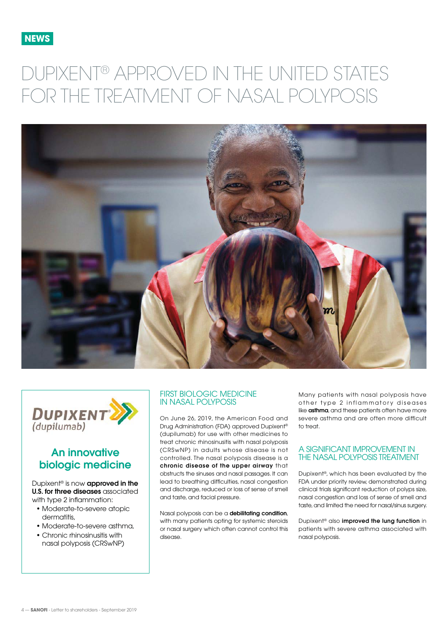<span id="page-3-0"></span>

# DUPIXENT® APPROVED IN THE UNITED STATES FOR THE TREATMENT OF NASAL POLYPOSIS





# **An innovative biologic medicine**

Dupixent® is now **approved in the U.S. for three diseases** associated with type 2 inflammation:

- Moderate-to-severe atopic dermatitis,
- Moderate-to-severe asthma,
- Chronic rhinosinusitis with nasal polyposis (CRSwNP)

#### FIRST BIOLOGIC MEDICINE IN NASAL POLYPOSIS

On June 26, 2019, the American Food and Drug Administration (FDA) approved Dupixent® (dupilumab) for use with other medicines to treat chronic rhinosinusitis with nasal polyposis (CRSwNP) in adults whose disease is not controlled. The nasal polyposis disease is a **chronic disease of the upper airway** that obstructs the sinuses and nasal passages. It can lead to breathing difficulties, nasal congestion and discharge, reduced or loss of sense of smell and taste, and facial pressure.

Nasal polyposis can be a **debilitating condition**, with many patients opting for systemic steroids or nasal surgery which often cannot control this disease.

Many patients with nasal polyposis have other type 2 inflammatory diseases like **asthma**, and these patients often have more severe asthma and are often more difficult  $t \cap \text{tr}\rightarrow t$ 

#### A SIGNIFICANT IMPROVEMENT IN THE NASAL POLYPOSIS TREATMENT

Dupixent®, which has been evaluated by the FDA under priority review, demonstrated during clinical trials significant reduction of polyps size, nasal congestion and loss of sense of smell and taste, and limited the need for nasal/sinus surgery.

Dupixent® also **improved the lung function** in patients with severe asthma associated with nasal polyposis.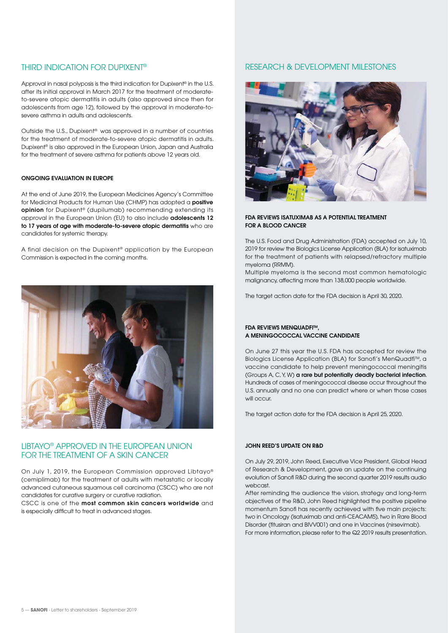### THIRD INDICATION FOR DUPIXENT®

Approval in nasal polyposis is the third indication for Dupixent<sup>®</sup> in the U.S. after its initial approval in March 2017 for the treatment of moderateto-severe atopic dermatitis in adults (also approved since then for adolescents from age 12), followed by the approval in moderate-tosevere asthma in adults and adolescents.

Outside the U.S., Dupixent® was approved in a number of countries for the treatment of moderate-to-severe atopic dermatitis in adults. Dupixent® is also approved in the European Union, Japan and Australia for the treatment of severe asthma for patients above 12 years old.

#### **ONGOING EVALUATION IN EUROPE**

At the end of June 2019, the European Medicines Agency's Committee for Medicinal Products for Human Use (CHMP) has adopted a **positive opinion** for Dupixent® (dupilumab) recommending extending its approval in the European Union (EU) to also include **adolescents 12 to 17 years of age with moderate-to-severe atopic dermatitis** who are candidates for systemic therapy.

A final decision on the Dupixent® application by the European Commission is expected in the coming months.



### LIBTAYO® APPROVED IN THE EUROPEAN UNION FOR THE TREATMENT OF A SKIN CANCER

On July 1, 2019, the European Commission approved Libtayo® (cemiplimab) for the treatment of adults with metastatic or locally advanced cutaneous squamous cell carcinoma (CSCC) who are not candidates for curative surgery or curative radiation.

CSCC is one of the **most common skin cancers worldwide** and is especially difficult to treat in advanced stages.

# RESEARCH & DEVELOPMENT MILESTONES



#### **FDA REVIEWS ISATUXIMAB AS A POTENTIAL TREATMENT FOR A BLOOD CANCER**

The U.S. Food and Drug Administration (FDA) accepted on July 10, 2019 for review the Biologics License Application (BLA) for isatuximab for the treatment of patients with relapsed/refractory multiple myeloma (RRMM).

Multiple myeloma is the second most common hematologic malignancy, affecting more than 138,000 people worldwide.

The target action date for the FDA decision is April 30, 2020.

#### **FDA REVIEWS MENQUADFITM, A MENINGOCOCCAL VACCINE CANDIDATE**

On June 27 this year the U.S. FDA has accepted for review the Biologics License Application (BLA) for Sanofi's MenQuadfi<sup>™</sup>, a vaccine candidate to help prevent meningococcal meningitis (Groups A, C, Y, W) **a rare but potentially deadly bacterial infection**. Hundreds of cases of meningococcal disease occur throughout the U.S. annually and no one can predict where or when those cases will occur.

The target action date for the FDA decision is April 25, 2020.

#### **JOHN REED'S UPDATE ON R&D**

On July 29, 2019, John Reed, Executive Vice President, Global Head of Research & Development, gave an update on the continuing evolution of Sanofi R&D during the second quarter 2019 results audio webcast.

After reminding the audience the vision, strategy and long-term objectives of the R&D, John Reed highlighted the positive pipeline momentum Sanofi has recently achieved with five main projects: two in Oncology (isatuximab and anti-CEACAM5), two in Rare Blood Disorder (fitusiran and BIVV001) and one in Vaccines (nirsevimab). For more information, please refer to the Q2 2019 results presentation.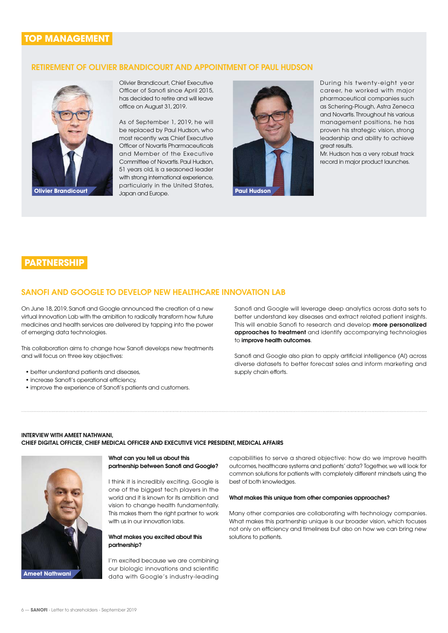# <span id="page-5-0"></span>**TOP MANAGEMENT**

#### **RETIREMENT OF OLIVIER BRANDICOURT AND APPOINTMENT OF PAUL HUDSON**



Olivier Brandicourt, Chief Executive Officer of Sanofi since April 2015, has decided to retire and will leave office on August 31, 2019.

As of September 1, 2019, he will be replaced by Paul Hudson, who most recently was Chief Executive Officer of Novartis Pharmaceuticals and Member of the Executive Committee of Novartis. Paul Hudson, 51 years old, is a seasoned leader with strong international experience, particularly in the United States, Japan and Europe. **Olivier Brandicourt Paul Hudson** 



During his twenty-eight year career, he worked with major pharmaceutical companies such as Schering-Plough, Astra Zeneca and Novartis. Throughout his various management positions, he has proven his strategic vision, strong leadership and ability to achieve great results.

Mr. Hudson has a very robust track record in major product launches.

# **PARTNERSHIP**

### **SANOFI AND GOOGLE TO DEVELOP NEW HEALTHCARE INNOVATION LAB**

On June 18, 2019, Sanofi and Google announced the creation of a new virtual Innovation Lab with the ambition to radically transform how future medicines and health services are delivered by tapping into the power of emerging data technologies.

This collaboration aims to change how Sanofi develops new treatments and will focus on three key objectives:

- better understand patients and diseases,
- increase Sanofi's operational efficiency,
- improve the experience of Sanofi's patients and customers.

Sanofi and Google will leverage deep analytics across data sets to better understand key diseases and extract related patient insights. This will enable Sanofi to research and develop **more personalized approaches to treatment** and identify accompanying technologies to **improve health outcomes**.

Sanofi and Google also plan to apply artificial intelligence (AI) across diverse datasets to better forecast sales and inform marketing and supply chain efforts.

#### **INTERVIEW WITH AMEET NATHWANI, CHIEF DIGITAL OFFICER, CHIEF MEDICAL OFFICER AND EXECUTIVE VICE PRESIDENT, MEDICAL AFFAIRS**



#### **What can you tell us about this partnership between Sanofi and Google?**

I think it is incredibly exciting. Google is one of the biggest tech players in the world and it is known for its ambition and vision to change health fundamentally. This makes them the right partner to work with us in our innovation labs.

#### **What makes you excited about this partnership?**

I'm excited because we are combining our biologic innovations and scientific data with Google's industry-leading capabilities to serve a shared objective: how do we improve health outcomes, healthcare systems and patients' data? Together, we will look for common solutions for patients with completely different mindsets using the best of both knowledges.

#### **What makes this unique from other companies approaches?**

Many other companies are collaborating with technology companies. What makes this partnership unique is our broader vision, which focuses not only on efficiency and timeliness but also on how we can bring new solutions to patients.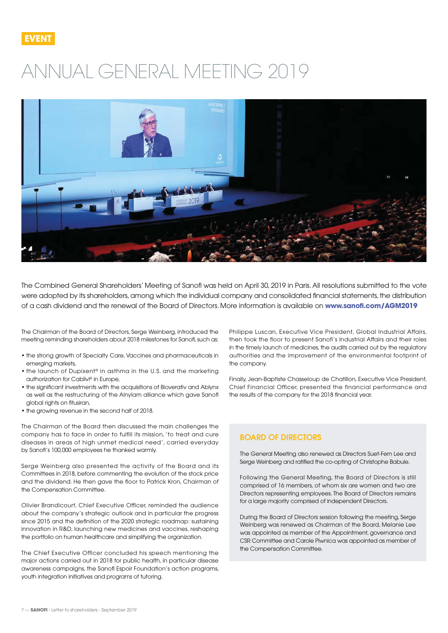

# ANNUAL GENERAL MEETING 2019



The Combined General Shareholders' Meeting of Sanofi was held on April 30, 2019 in Paris. All resolutions submitted to the vote were adopted by its shareholders, among which the individual company and consolidated financial statements, the distribution of a cash dividend and the renewal of the Board of Directors. More information is available on **[www.sanofi.com/AGM2019](http://www.sano%EF%AC%81.com/AGM2019)**

The Chairman of the Board of Directors, Serge Weinberg, introduced the meeting reminding shareholders about 2018 milestones for Sanofi, such as:

- the strong growth of Specialty Care, Vaccines and pharmaceuticals in emerging markets,
- the launch of Dupixent® in asthma in the U.S. and the marketing authorization for Cablivi® in Europe,
- the significant investments with the acquisitions of Bioverativ and Ablynx as well as the restructuring of the Alnylam alliance which gave Sanofi global rights on fitusiran,
- the growing revenue in the second half of 2018.

The Chairman of the Board then discussed the main challenges the company has to face in order to fulfill its mission, 'to treat and cure diseases in areas of high unmet medical need', carried everyday by Sanofi's 100,000 employees he thanked warmly.

Serge Weinberg also presented the activity of the Board and its Committees in 2018, before commenting the evolution of the stock price and the dividend. He then gave the floor to Patrick Kron, Chairman of the Compensation Committee.

Olivier Brandicourt, Chief Executive Officer, reminded the audience about the company's strategic outlook and in particular the progress since 2015 and the definition of the 2020 strategic roadmap: sustaining innovation in R&D, launching new medicines and vaccines, reshaping the portfolio on human healthcare and simplifying the organization.

The Chief Executive Officer concluded his speech mentioning the major actions carried out in 2018 for public health, in particular disease awareness campaigns, the Sanofi Espoir Foundation's action programs, youth integration initiatives and programs of tutoring.

Philippe Luscan, Executive Vice President, Global Industrial Affairs, then took the floor to present Sanofi's Industrial Affairs and their roles in the timely launch of medicines, the audits carried out by the regulatory authorities and the improvement of the environmental footprint of the company.

Finally, Jean-Baptiste Chasseloup de Chatillon, Executive Vice President, Chief Financial Officer, presented the financial performance and the results of the company for the 2018 financial year.

### **BOARD OF DIRECTORS**

The General Meeting also renewed as Directors Suet-Fern Lee and Serge Weinberg and ratified the co-opting of Christophe Babule.

Following the General Meeting, the Board of Directors is still comprised of 16 members, of whom six are women and two are Directors representing employees. The Board of Directors remains for a large majority comprised of independent Directors.

During the Board of Directors session following the meeting, Serge Weinberg was renewed as Chairman of the Board, Melanie Lee was appointed as member of the Appointment, governance and CSR Committee and Carole Piwnica was appointed as member of the Compensation Committee.